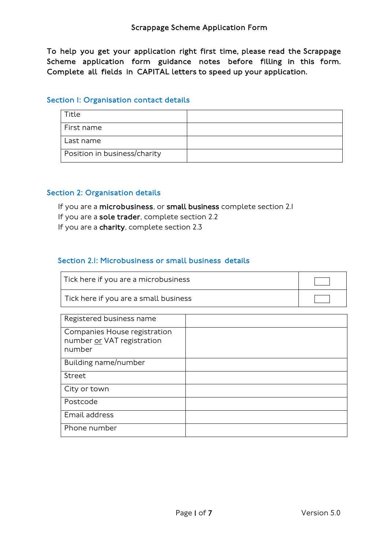To help you get your application right first time, please read the Scrappage Scheme application form guidance notes before filling in this form. Complete all fields in CAPITAL letters to speed up your application.

#### Section I: Organisation contact details

| Title                        |  |
|------------------------------|--|
| First name                   |  |
| Last name                    |  |
| Position in business/charity |  |

#### Section 2: Organisation details

If you are a microbusiness, or small business complete section 2.1 If you are a sole trader, complete section 2.2 If you are a charity, complete section 2.3

## Section 2.1: Microbusiness or small business details

| Tick here if you are a microbusiness  |  |
|---------------------------------------|--|
| Tick here if you are a small business |  |
|                                       |  |
| Registered business name              |  |

| is contracted business in all lie                                    |  |
|----------------------------------------------------------------------|--|
| Companies House registration<br>number or VAT registration<br>number |  |
| Building name/number                                                 |  |
| Street                                                               |  |
| City or town                                                         |  |
| Postcode                                                             |  |
| Email address                                                        |  |
| Phone number                                                         |  |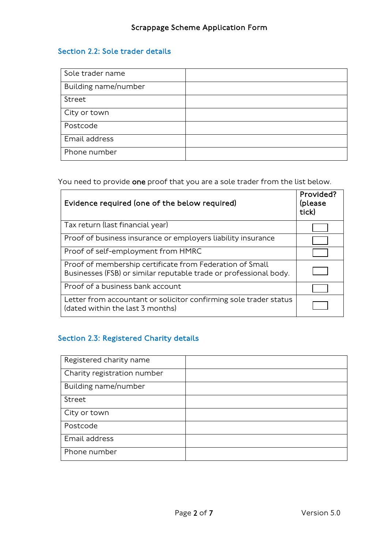# Section 2.2: Sole trader details

| Sole trader name     |  |
|----------------------|--|
| Building name/number |  |
| Street               |  |
| City or town         |  |
| Postcode             |  |
| Email address        |  |
| Phone number         |  |

You need to provide one proof that you are a sole trader from the list below.

| Evidence required (one of the below required)                                                                                 | Provided?<br>(please<br>tick) |
|-------------------------------------------------------------------------------------------------------------------------------|-------------------------------|
| Tax return (last financial year)                                                                                              |                               |
| Proof of business insurance or employers liability insurance                                                                  |                               |
| Proof of self-employment from HMRC                                                                                            |                               |
| Proof of membership certificate from Federation of Small<br>Businesses (FSB) or similar reputable trade or professional body. |                               |
| Proof of a business bank account                                                                                              |                               |
| Letter from accountant or solicitor confirming sole trader status<br>(dated within the last 3 months)                         |                               |

# Section 2.3: Registered Charity details

| Registered charity name     |  |
|-----------------------------|--|
| Charity registration number |  |
| Building name/number        |  |
| Street                      |  |
| City or town                |  |
| Postcode                    |  |
| Email address               |  |
| Phone number                |  |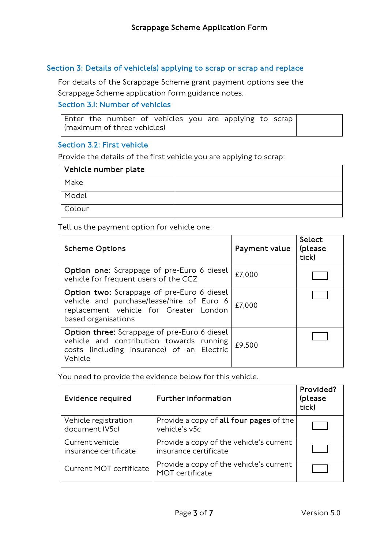#### Section 3: Details of vehicle(s) applying to scrap or scrap and replace

For details of the Scrappage Scheme grant payment options see the Scrappage Scheme application form guidance notes.

## Section 3.1: Number of vehicles

Enter the number of vehicles you are applying to scrap (maximum of three vehicles)

#### Section 3.2: First vehicle

Provide the details of the first vehicle you are applying to scrap:

| Vehicle number plate |  |
|----------------------|--|
| Make                 |  |
| Model                |  |
| Colour               |  |

Tell us the payment option for vehicle one:

| <b>Scheme Options</b>                                                                                                                                           | Payment value | Select<br>(please<br>tick) |
|-----------------------------------------------------------------------------------------------------------------------------------------------------------------|---------------|----------------------------|
| <b>Option one:</b> Scrappage of pre-Euro 6 diesel<br>vehicle for frequent users of the CCZ                                                                      | £7,000        |                            |
| <b>Option two:</b> Scrappage of pre-Euro 6 diesel<br>vehicle and purchase/lease/hire of Euro 6<br>replacement vehicle for Greater London<br>based organisations | £7,000        |                            |
| Option three: Scrappage of pre-Euro 6 diesel<br>vehicle and contribution towards running<br>costs (including insurance) of an Electric<br>Vehicle               | £9.500        |                            |

You need to provide the evidence below for this vehicle.

| Evidence required                        | <b>Further information</b>                                       | Provided?<br>(please<br>tick) |
|------------------------------------------|------------------------------------------------------------------|-------------------------------|
| Vehicle registration<br>document (V5c)   | Provide a copy of all four pages of the<br>vehicle's v5c         |                               |
| Current vehicle<br>insurance certificate | Provide a copy of the vehicle's current<br>insurance certificate |                               |
| <b>Current MOT certificate</b>           | Provide a copy of the vehicle's current<br>MOT certificate       |                               |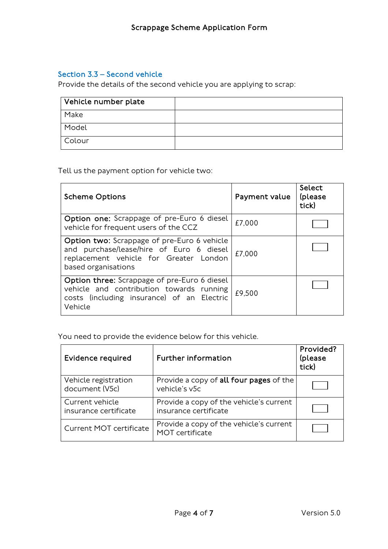#### Section 3.3 – Second vehicle

Provide the details of the second vehicle you are applying to scrap:

| Vehicle number plate |  |
|----------------------|--|
| Make                 |  |
| Model                |  |
| Colour               |  |

Tell us the payment option for vehicle two:

| <b>Scheme Options</b>                                                                                                                                           | Payment value | Select<br>(please<br>tick) |
|-----------------------------------------------------------------------------------------------------------------------------------------------------------------|---------------|----------------------------|
| Option one: Scrappage of pre-Euro 6 diesel<br>vehicle for frequent users of the CCZ                                                                             | £7,000        |                            |
| <b>Option two:</b> Scrappage of pre-Euro 6 vehicle<br>and purchase/lease/hire of Euro 6 diesel<br>replacement vehicle for Greater London<br>based organisations | £7,000        |                            |
| <b>Option three:</b> Scrappage of pre-Euro 6 diesel<br>vehicle and contribution towards running<br>costs (including insurance) of an Electric<br>Vehicle        | £9,500        |                            |

You need to provide the evidence below for this vehicle.

| <b>Evidence required</b>                 | <b>Further information</b>                                       | Provided?<br>(please<br>tick) |
|------------------------------------------|------------------------------------------------------------------|-------------------------------|
| Vehicle registration<br>document (V5c)   | Provide a copy of all four pages of the<br>vehicle's v5c         |                               |
| Current vehicle<br>insurance certificate | Provide a copy of the vehicle's current<br>insurance certificate |                               |
| <b>Current MOT certificate</b>           | Provide a copy of the vehicle's current<br>MOT certificate       |                               |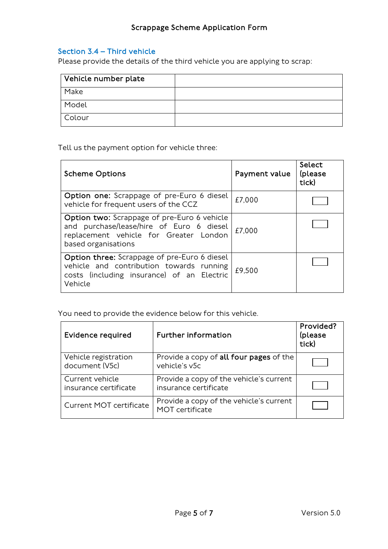# Section 3.4 – Third vehicle

Please provide the details of the third vehicle you are applying to scrap:

| Vehicle number plate |  |
|----------------------|--|
| Make                 |  |
| Model                |  |
| Colour               |  |

Tell us the payment option for vehicle three:

| <b>Scheme Options</b>                                                                                                                                    | Payment value | Select<br>(please<br>tick) |
|----------------------------------------------------------------------------------------------------------------------------------------------------------|---------------|----------------------------|
| Option one: Scrappage of pre-Euro 6 diesel<br>vehicle for frequent users of the CCZ                                                                      | £7,000        |                            |
| Option two: Scrappage of pre-Euro 6 vehicle<br>and purchase/lease/hire of Euro 6 diesel<br>replacement vehicle for Greater London<br>based organisations | £7,000        |                            |
| Option three: Scrappage of pre-Euro 6 diesel<br>vehicle and contribution towards running<br>costs (including insurance) of an Electric<br>Vehicle        | £9,500        |                            |

You need to provide the evidence below for this vehicle.

| <b>Evidence required</b>                 | <b>Further information</b>                                       | Provided?<br>(please<br>tick) |
|------------------------------------------|------------------------------------------------------------------|-------------------------------|
| Vehicle registration<br>document (V5c)   | Provide a copy of all four pages of the<br>vehicle's v5c         |                               |
| Current vehicle<br>insurance certificate | Provide a copy of the vehicle's current<br>insurance certificate |                               |
| Current MOT certificate                  | Provide a copy of the vehicle's current<br>MOT certificate       |                               |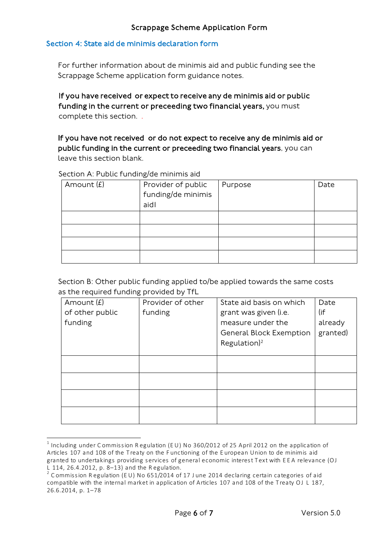#### Section 4: State aid de minimis declaration form

For further information about de minimis aid and public funding see the Scrappage Scheme application form guidance notes.

If you have received or expect to receive any de minimis aid or public funding in the current or preceeding two financial years, you must complete this section. .

If you have not received or do not expect to receive any de minimis aid or public funding in the current or preceeding two financial years, you can leave this section blank.

Section A: Public funding/de minimis aid

| Amount $(E)$ | Provider of public | Purpose | Date |
|--------------|--------------------|---------|------|
|              | funding/de minimis |         |      |
|              | aidl               |         |      |
|              |                    |         |      |
|              |                    |         |      |
|              |                    |         |      |
|              |                    |         |      |

Section B: Other public funding applied to/be applied towards the same costs as the required funding provided by TfL

| Amount $(E)$    | Provider of other | State aid basis on which       | Date     |
|-----------------|-------------------|--------------------------------|----------|
| of other public | funding           | grant was given (i.e.          | (if      |
| funding         |                   | measure under the              | already  |
|                 |                   | <b>General Block Exemption</b> | granted) |
|                 |                   | Regulation) <sup>2</sup>       |          |
|                 |                   |                                |          |
|                 |                   |                                |          |
|                 |                   |                                |          |
|                 |                   |                                |          |
|                 |                   |                                |          |
|                 |                   |                                |          |
|                 |                   |                                |          |

<span id="page-5-0"></span> $^1$  Including under Commission Regulation (EU) No 360/2012 of 25 April 2012 on the application of Articles 107 and 108 of the T reaty on the F unctioning of the E uropean Union to de minimis aid granted to undertakings providing services of general economic interest Text with EEA relevance (OJ L 114, 26.4.2012, p. 8–13) and the R egulation.

<span id="page-5-1"></span><sup>&</sup>lt;sup>2</sup> Commission Regulation (EU) No 651/2014 of 17 June 2014 declaring certain categories of aid compatible with the internal market in application of Articles 107 and 108 of the Treaty OJ L 187, 26.6.2014, p. 1–78